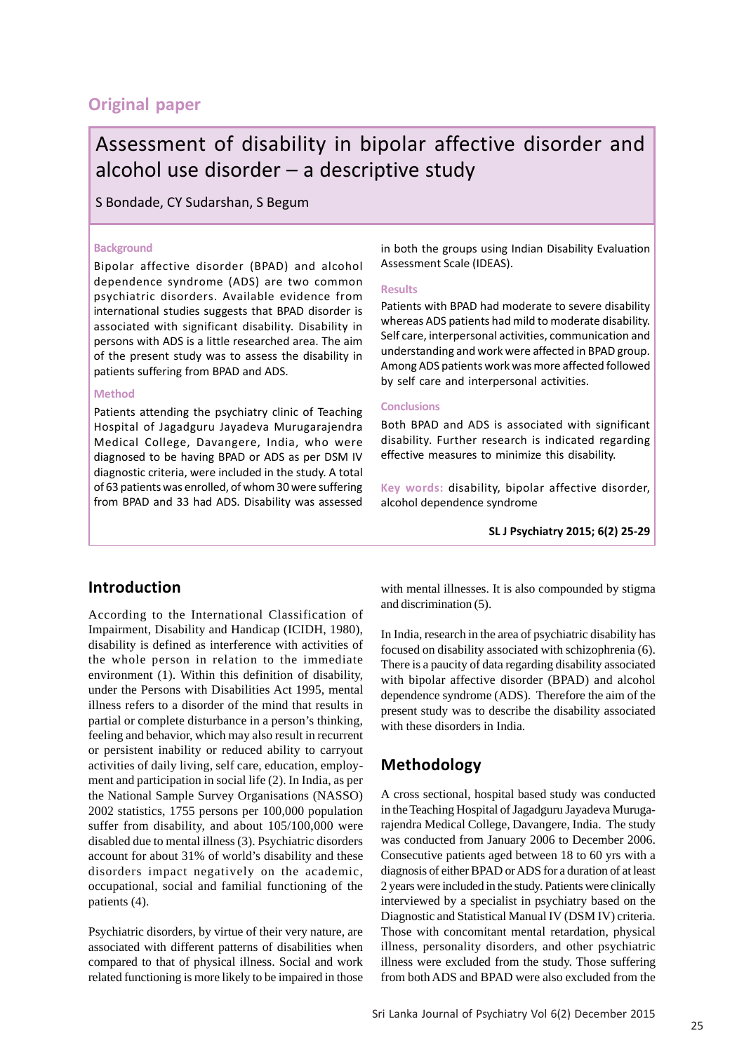# **Original paper**

# Assessment of disability in bipolar affective disorder and alcohol use disorder – a descriptive study

S Bondade, CY Sudarshan, S Begum

#### **Background**

Bipolar affective disorder (BPAD) and alcohol dependence syndrome (ADS) are two common psychiatric disorders. Available evidence from international studies suggests that BPAD disorder is associated with significant disability. Disability in persons with ADS is a little researched area. The aim of the present study was to assess the disability in patients suffering from BPAD and ADS.

#### **Method**

Patients attending the psychiatry clinic of Teaching Hospital of Jagadguru Jayadeva Murugarajendra Medical College, Davangere, India, who were diagnosed to be having BPAD or ADS as per DSM IV diagnostic criteria, were included in the study. A total of 63 patients was enrolled, of whom 30 were suffering from BPAD and 33 had ADS. Disability was assessed

in both the groups using Indian Disability Evaluation Assessment Scale (IDEAS).

#### **Results**

Patients with BPAD had moderate to severe disability whereas ADS patients had mild to moderate disability. Self care, interpersonal activities, communication and understanding and work were affected in BPAD group. Among ADS patients work was more affected followed by self care and interpersonal activities.

#### **Conclusions**

Both BPAD and ADS is associated with significant disability. Further research is indicated regarding effective measures to minimize this disability.

**Key words:** disability, bipolar affective disorder, alcohol dependence syndrome

**SL J Psychiatry 2015; 6(2) 25-29**

## **Introduction**

According to the International Classification of Impairment, Disability and Handicap (ICIDH, 1980), disability is defined as interference with activities of the whole person in relation to the immediate environment (1). Within this definition of disability, under the Persons with Disabilities Act 1995, mental illness refers to a disorder of the mind that results in partial or complete disturbance in a person's thinking, feeling and behavior, which may also result in recurrent or persistent inability or reduced ability to carryout activities of daily living, self care, education, employment and participation in social life (2). In India, as per the National Sample Survey Organisations (NASSO) 2002 statistics, 1755 persons per 100,000 population suffer from disability, and about 105/100,000 were disabled due to mental illness (3). Psychiatric disorders account for about 31% of world's disability and these disorders impact negatively on the academic, occupational, social and familial functioning of the patients (4).

Psychiatric disorders, by virtue of their very nature, are associated with different patterns of disabilities when compared to that of physical illness. Social and work related functioning is more likely to be impaired in those with mental illnesses. It is also compounded by stigma and discrimination (5).

In India, research in the area of psychiatric disability has focused on disability associated with schizophrenia (6). There is a paucity of data regarding disability associated with bipolar affective disorder (BPAD) and alcohol dependence syndrome (ADS). Therefore the aim of the present study was to describe the disability associated with these disorders in India.

# **Methodology**

A cross sectional, hospital based study was conducted in the Teaching Hospital of Jagadguru Jayadeva Murugarajendra Medical College, Davangere, India. The study was conducted from January 2006 to December 2006. Consecutive patients aged between 18 to 60 yrs with a diagnosis of either BPAD or ADS for a duration of at least 2 years were included in the study. Patients were clinically interviewed by a specialist in psychiatry based on the Diagnostic and Statistical Manual IV (DSM IV) criteria. Those with concomitant mental retardation, physical illness, personality disorders, and other psychiatric illness were excluded from the study. Those suffering from both ADS and BPAD were also excluded from the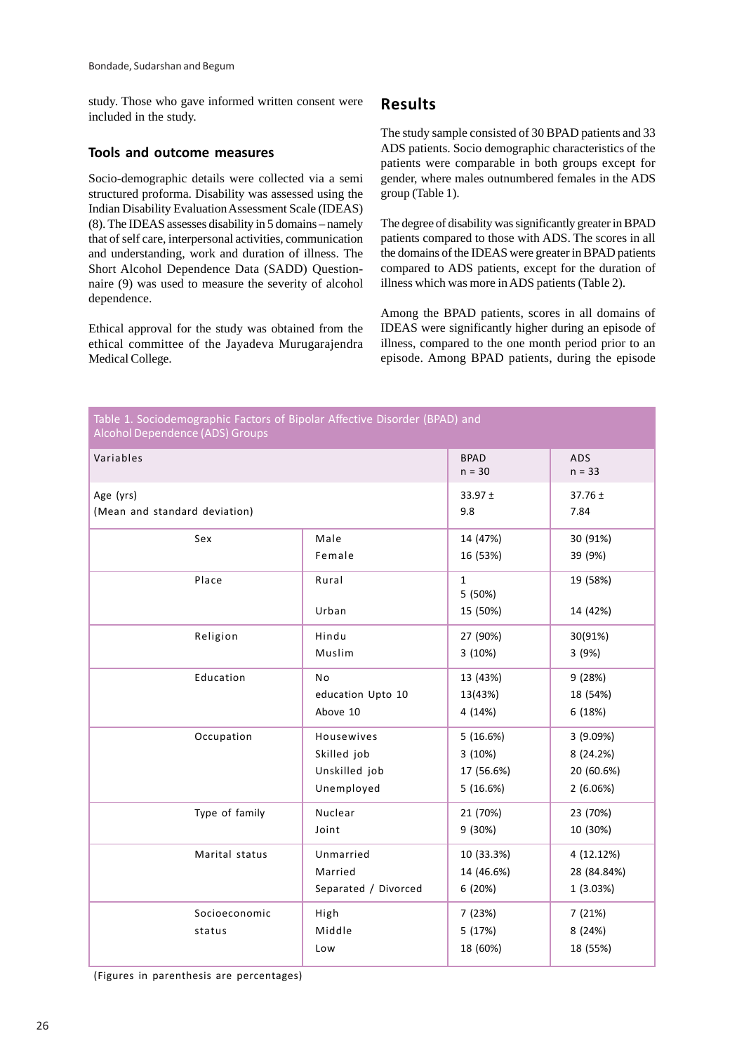study. Those who gave informed written consent were included in the study.

#### **Tools and outcome measures**

Socio-demographic details were collected via a semi structured proforma. Disability was assessed using the Indian Disability Evaluation Assessment Scale (IDEAS) (8). The IDEAS assesses disability in 5 domains – namely that of self care, interpersonal activities, communication and understanding, work and duration of illness. The Short Alcohol Dependence Data (SADD) Questionnaire (9) was used to measure the severity of alcohol dependence.

Ethical approval for the study was obtained from the ethical committee of the Jayadeva Murugarajendra Medical College.

### **Results**

The study sample consisted of 30 BPAD patients and 33 ADS patients. Socio demographic characteristics of the patients were comparable in both groups except for gender, where males outnumbered females in the ADS group (Table 1).

The degree of disability was significantly greater in BPAD patients compared to those with ADS. The scores in all the domains of the IDEAS were greater in BPAD patients compared to ADS patients, except for the duration of illness which was more in ADS patients (Table 2).

Among the BPAD patients, scores in all domains of IDEAS were significantly higher during an episode of illness, compared to the one month period prior to an episode. Among BPAD patients, during the episode

| Table 1. Sociodemographic Factors of Bipolar Affective Disorder (BPAD) and<br><b>Alcohol Dependence (ADS) Groups</b> |                         |                                     |                               |  |
|----------------------------------------------------------------------------------------------------------------------|-------------------------|-------------------------------------|-------------------------------|--|
| Variables                                                                                                            | <b>BPAD</b><br>$n = 30$ | <b>ADS</b><br>$n = 33$              |                               |  |
| Age (yrs)                                                                                                            |                         | 33.97 ±                             | $37.76 \pm$                   |  |
| (Mean and standard deviation)                                                                                        |                         | 9.8                                 | 7.84                          |  |
| Sex                                                                                                                  | Male                    | 14 (47%)                            | 30 (91%)                      |  |
|                                                                                                                      | Female                  | 16 (53%)                            | 39 (9%)                       |  |
| Place                                                                                                                | Rural<br>Urban          | $\mathbf{1}$<br>5 (50%)<br>15 (50%) | 19 (58%)<br>14 (42%)          |  |
| Religion                                                                                                             | Hindu                   | 27 (90%)                            | 30(91%)                       |  |
|                                                                                                                      | Muslim                  | 3(10%)                              | 3(9%)                         |  |
| Education                                                                                                            | No                      | 13 (43%)                            | 9(28%)                        |  |
|                                                                                                                      | education Upto 10       | 13(43%)                             | 18 (54%)                      |  |
|                                                                                                                      | Above 10                | 4 (14%)                             | 6(18%)                        |  |
| Occupation                                                                                                           | Housewives              | 5(16.6%)                            | 3(9.09%)                      |  |
|                                                                                                                      | Skilled job             | 3(10%)                              | 8 (24.2%)                     |  |
|                                                                                                                      | Unskilled job           | 17 (56.6%)                          | 20 (60.6%)                    |  |
|                                                                                                                      | Unemployed              | 5(16.6%)                            | 2(6.06%)                      |  |
| Type of family                                                                                                       | Nuclear                 | 21 (70%)                            | 23 (70%)                      |  |
|                                                                                                                      | Joint                   | 9 (30%)                             | 10 (30%)                      |  |
| Marital status                                                                                                       | Unmarried               | 10 (33.3%)                          | 4 (12.12%)                    |  |
|                                                                                                                      | Married                 | 14 (46.6%)                          | 28 (84.84%)                   |  |
|                                                                                                                      | Separated / Divorced    | 6(20%)                              | 1(3.03%)                      |  |
| Socioeconomic<br>status                                                                                              | High<br>Middle<br>Low   | 7(23%)<br>5(17%)<br>18 (60%)        | 7(21%)<br>8 (24%)<br>18 (55%) |  |

(Figures in parenthesis are percentages)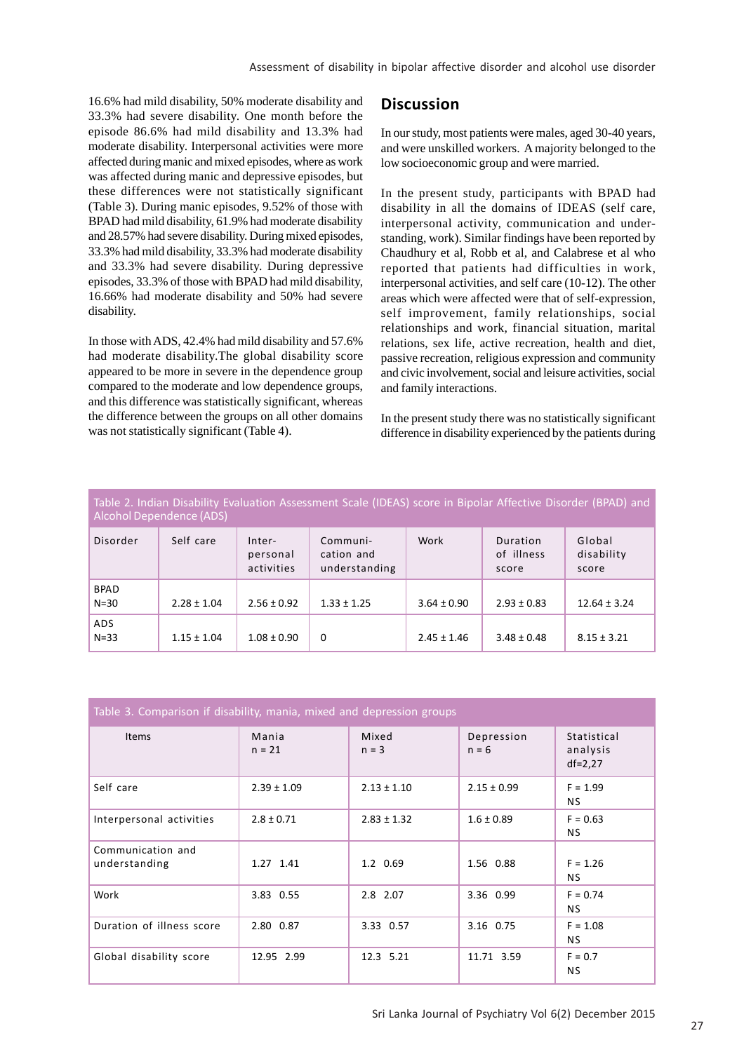16.6% had mild disability, 50% moderate disability and 33.3% had severe disability. One month before the episode 86.6% had mild disability and 13.3% had moderate disability. Interpersonal activities were more affected during manic and mixed episodes, where as work was affected during manic and depressive episodes, but these differences were not statistically significant (Table 3). During manic episodes, 9.52% of those with BPAD had mild disability, 61.9% had moderate disability and 28.57% had severe disability. During mixed episodes, 33.3% had mild disability, 33.3% had moderate disability and 33.3% had severe disability. During depressive episodes, 33.3% of those with BPAD had mild disability, 16.66% had moderate disability and 50% had severe disability.

In those with ADS, 42.4% had mild disability and 57.6% had moderate disability.The global disability score appeared to be more in severe in the dependence group compared to the moderate and low dependence groups, and this difference was statistically significant, whereas the difference between the groups on all other domains was not statistically significant (Table 4).

### **Discussion**

In our study, most patients were males, aged 30-40 years, and were unskilled workers. A majority belonged to the low socioeconomic group and were married.

In the present study, participants with BPAD had disability in all the domains of IDEAS (self care, interpersonal activity, communication and understanding, work). Similar findings have been reported by Chaudhury et al, Robb et al, and Calabrese et al who reported that patients had difficulties in work, interpersonal activities, and self care (10-12). The other areas which were affected were that of self-expression, self improvement, family relationships, social relationships and work, financial situation, marital relations, sex life, active recreation, health and diet, passive recreation, religious expression and community and civic involvement, social and leisure activities, social and family interactions.

In the present study there was no statistically significant difference in disability experienced by the patients during

Table 2. Indian Disability Evaluation Assessment Scale (IDEAS) score in Bipolar Affective Disorder (BPAD) and Alcohol Dependence (ADS)

| Disorder              | Self care       | Inter-<br>personal<br>activities | Communi-<br>cation and<br>understanding | Work            | Duration<br>of illness<br>score | Global<br>disability<br>score |
|-----------------------|-----------------|----------------------------------|-----------------------------------------|-----------------|---------------------------------|-------------------------------|
| <b>BPAD</b><br>$N=30$ | $2.28 \pm 1.04$ | $2.56 \pm 0.92$                  | $1.33 \pm 1.25$                         | $3.64 \pm 0.90$ | $2.93 \pm 0.83$                 | $12.64 \pm 3.24$              |
| <b>ADS</b><br>$N=33$  | $1.15 \pm 1.04$ | $1.08 \pm 0.90$                  | 0                                       | $2.45 \pm 1.46$ | $3.48 \pm 0.48$                 | $8.15 \pm 3.21$               |

| Table 3. Comparison if disability, mania, mixed and depression groups |                   |                  |                       |                                        |  |
|-----------------------------------------------------------------------|-------------------|------------------|-----------------------|----------------------------------------|--|
| Items                                                                 | Mania<br>$n = 21$ | Mixed<br>$n = 3$ | Depression<br>$n = 6$ | Statistical<br>analysis<br>$df = 2,27$ |  |
| Self care                                                             | $2.39 \pm 1.09$   | $2.13 \pm 1.10$  | $2.15 \pm 0.99$       | $F = 1.99$<br>NS.                      |  |
| Interpersonal activities                                              | $2.8 \pm 0.71$    | $2.83 \pm 1.32$  | $1.6 \pm 0.89$        | $F = 0.63$<br>NS.                      |  |
| Communication and<br>understanding                                    | 1.27 1.41         | 1.2 0.69         | 1.56 0.88             | $F = 1.26$<br>NS.                      |  |
| Work                                                                  | 3.83 0.55         | 2.8 2.07         | 3.36 0.99             | $F = 0.74$<br>NS.                      |  |
| Duration of illness score                                             | 2.80 0.87         | 3.33 0.57        | 3.16 0.75             | $F = 1.08$<br>NS.                      |  |
| Global disability score                                               | 12.95 2.99        | 12.3 5.21        | 11.71 3.59            | $F = 0.7$<br>ΝS                        |  |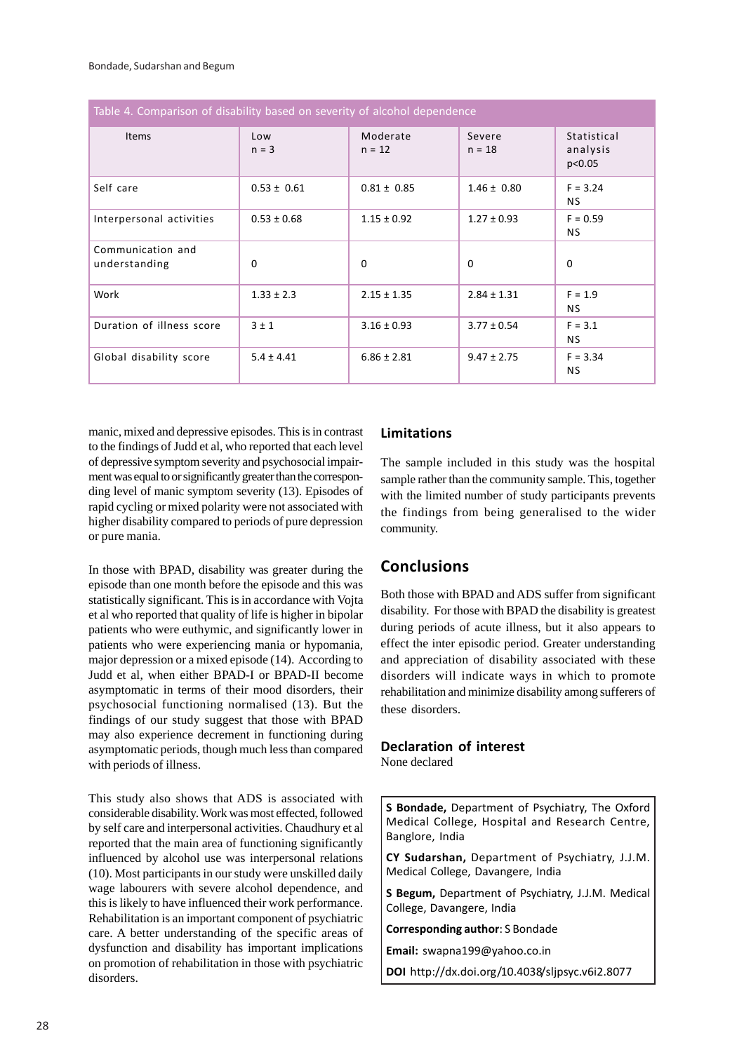| Table 4. Comparison of disability based on severity of alcohol dependence |                 |                      |                    |                                   |  |
|---------------------------------------------------------------------------|-----------------|----------------------|--------------------|-----------------------------------|--|
| Items                                                                     | Low<br>$n = 3$  | Moderate<br>$n = 12$ | Severe<br>$n = 18$ | Statistical<br>analysis<br>p<0.05 |  |
| Self care                                                                 | $0.53 \pm 0.61$ | $0.81 \pm 0.85$      | $1.46 \pm 0.80$    | $F = 3.24$<br><b>NS</b>           |  |
| Interpersonal activities                                                  | $0.53 \pm 0.68$ | $1.15 \pm 0.92$      | $1.27 \pm 0.93$    | $F = 0.59$<br><b>NS</b>           |  |
| Communication and<br>understanding                                        | $\Omega$        | $\Omega$             | $\Omega$           | $\Omega$                          |  |
| Work                                                                      | $1.33 \pm 2.3$  | $2.15 \pm 1.35$      | $2.84 \pm 1.31$    | $F = 1.9$<br><b>NS</b>            |  |
| Duration of illness score                                                 | $3 \pm 1$       | $3.16 \pm 0.93$      | $3.77 \pm 0.54$    | $F = 3.1$<br><b>NS</b>            |  |
| Global disability score                                                   | $5.4 \pm 4.41$  | $6.86 \pm 2.81$      | $9.47 \pm 2.75$    | $F = 3.34$<br><b>NS</b>           |  |

manic, mixed and depressive episodes. This is in contrast to the findings of Judd et al, who reported that each level of depressive symptom severity and psychosocial impairment was equal to or significantly greater than the corresponding level of manic symptom severity (13). Episodes of rapid cycling or mixed polarity were not associated with higher disability compared to periods of pure depression or pure mania.

In those with BPAD, disability was greater during the episode than one month before the episode and this was statistically significant. This is in accordance with Vojta et al who reported that quality of life is higher in bipolar patients who were euthymic, and significantly lower in patients who were experiencing mania or hypomania, major depression or a mixed episode (14). According to Judd et al, when either BPAD-I or BPAD-II become asymptomatic in terms of their mood disorders, their psychosocial functioning normalised (13). But the findings of our study suggest that those with BPAD may also experience decrement in functioning during asymptomatic periods, though much less than compared with periods of illness.

This study also shows that ADS is associated with considerable disability. Work was most effected, followed by self care and interpersonal activities. Chaudhury et al reported that the main area of functioning significantly influenced by alcohol use was interpersonal relations (10). Most participants in our study were unskilled daily wage labourers with severe alcohol dependence, and this is likely to have influenced their work performance. Rehabilitation is an important component of psychiatric care. A better understanding of the specific areas of dysfunction and disability has important implications on promotion of rehabilitation in those with psychiatric disorders.

### **Limitations**

The sample included in this study was the hospital sample rather than the community sample. This, together with the limited number of study participants prevents the findings from being generalised to the wider community.

# **Conclusions**

Both those with BPAD and ADS suffer from significant disability. For those with BPAD the disability is greatest during periods of acute illness, but it also appears to effect the inter episodic period. Greater understanding and appreciation of disability associated with these disorders will indicate ways in which to promote rehabilitation and minimize disability among sufferers of these disorders.

# **Declaration of interest**

None declared

**S Bondade,** Department of Psychiatry, The Oxford Medical College, Hospital and Research Centre, Banglore, India

**CY Sudarshan,** Department of Psychiatry, J.J.M. Medical College, Davangere, India

**S Begum,** Department of Psychiatry, J.J.M. Medical College, Davangere, India

**Corresponding author**: S Bondade

**Email:** swapna199@yahoo.co.in

**DOI** http://dx.doi.org/10.4038/sljpsyc.v6i2.8077